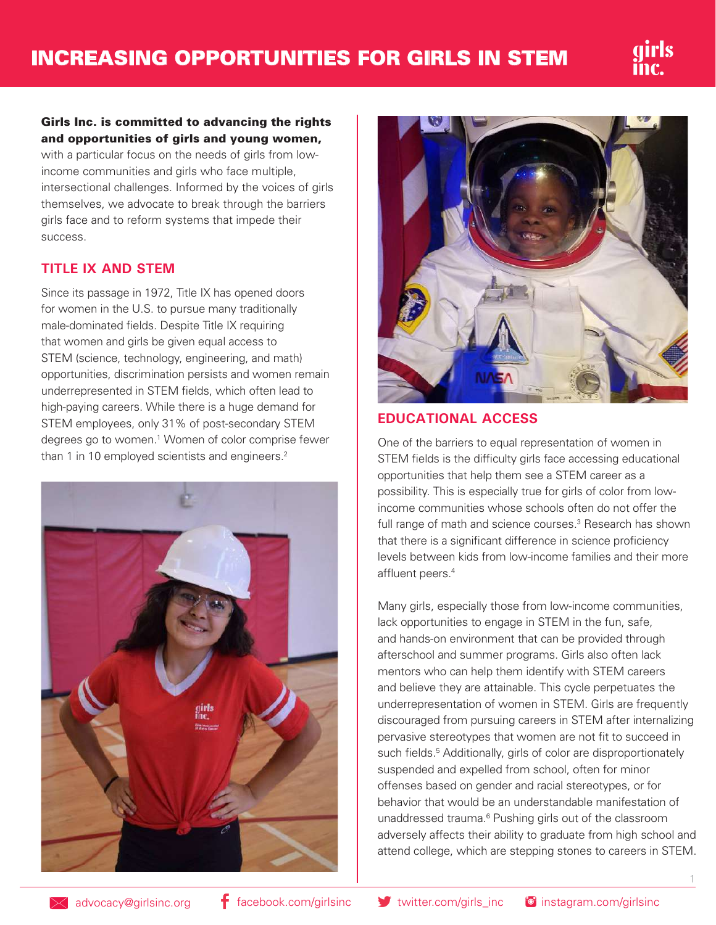

#### Girls Inc. is committed to advancing the rights and opportunities of girls and young women,

with a particular focus on the needs of girls from lowincome communities and girls who face multiple, intersectional challenges. Informed by the voices of girls themselves, we advocate to break through the barriers girls face and to reform systems that impede their success.

### **TITLE IX AND STEM**

Since its passage in 1972, Title IX has opened doors for women in the U.S. to pursue many traditionally male-dominated fields. Despite Title IX requiring that women and girls be given equal access to STEM (science, technology, engineering, and math) opportunities, discrimination persists and women remain underrepresented in STEM fields, which often lead to high-paying careers. While there is a huge demand for STEM employees, only 31% of post-secondary STEM degrees go to women.1 Women of color comprise fewer than 1 in 10 employed scientists and engineers.<sup>2</sup>





### **EDUCATIONAL ACCESS**

One of the barriers to equal representation of women in STEM fields is the difficulty girls face accessing educational opportunities that help them see a STEM career as a possibility. This is especially true for girls of color from lowincome communities whose schools often do not offer the full range of math and science courses.<sup>3</sup> Research has shown that there is a significant difference in science proficiency levels between kids from low-income families and their more affluent peers.4

Many girls, especially those from low-income communities, lack opportunities to engage in STEM in the fun, safe, and hands-on environment that can be provided through afterschool and summer programs. Girls also often lack mentors who can help them identify with STEM careers and believe they are attainable. This cycle perpetuates the underrepresentation of women in STEM. Girls are frequently discouraged from pursuing careers in STEM after internalizing pervasive stereotypes that women are not fit to succeed in such fields.<sup>5</sup> Additionally, girls of color are disproportionately suspended and expelled from school, often for minor offenses based on gender and racial stereotypes, or for behavior that would be an understandable manifestation of unaddressed trauma.<sup>6</sup> Pushing girls out of the classroom adversely affects their ability to graduate from high school and attend college, which are stepping stones to careers in STEM.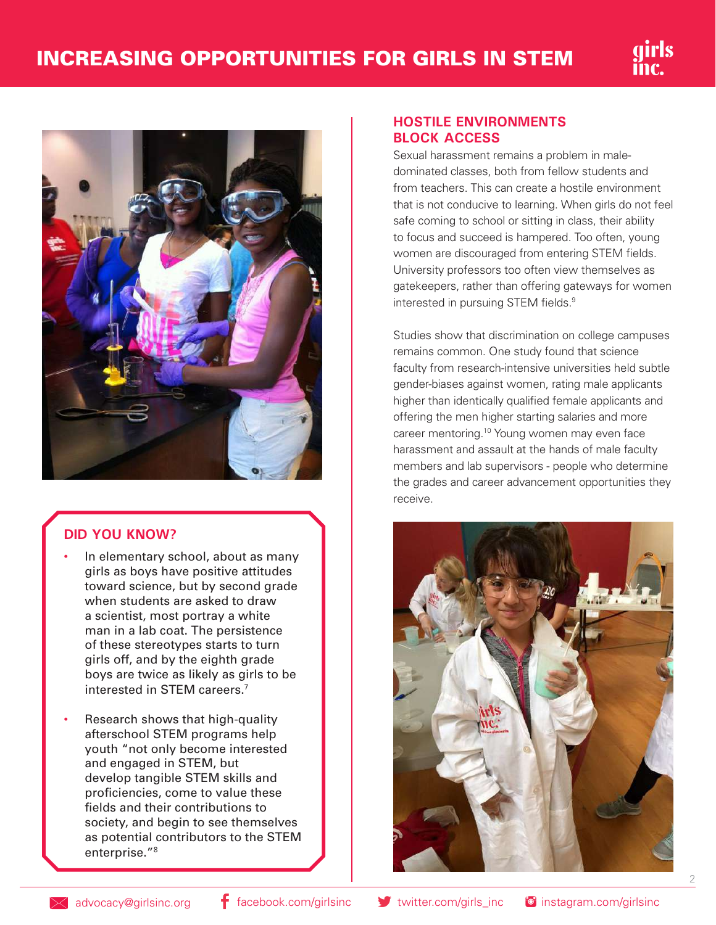

## **DID YOU KNOW?**

- In elementary school, about as many girls as boys have positive attitudes toward science, but by second grade when students are asked to draw a scientist, most portray a white man in a lab coat. The persistence of these stereotypes starts to turn girls off, and by the eighth grade boys are twice as likely as girls to be interested in STEM careers.7
- Research shows that high-quality afterschool STEM programs help youth "not only become interested and engaged in STEM, but develop tangible STEM skills and proficiencies, come to value these fields and their contributions to society, and begin to see themselves as potential contributors to the STEM enterprise."8

#### **HOSTILE ENVIRONMENTS BLOCK ACCESS**

Sexual harassment remains a problem in maledominated classes, both from fellow students and from teachers. This can create a hostile environment that is not conducive to learning. When girls do not feel safe coming to school or sitting in class, their ability to focus and succeed is hampered. Too often, young women are discouraged from entering STEM fields. University professors too often view themselves as gatekeepers, rather than offering gateways for women interested in pursuing STEM fields.<sup>9</sup>

Studies show that discrimination on college campuses remains common. One study found that science faculty from research-intensive universities held subtle gender-biases against women, rating male applicants higher than identically qualified female applicants and offering the men higher starting salaries and more career mentoring.<sup>10</sup> Young women may even face harassment and assault at the hands of male faculty members and lab supervisors - people who determine the grades and career advancement opportunities they receive.